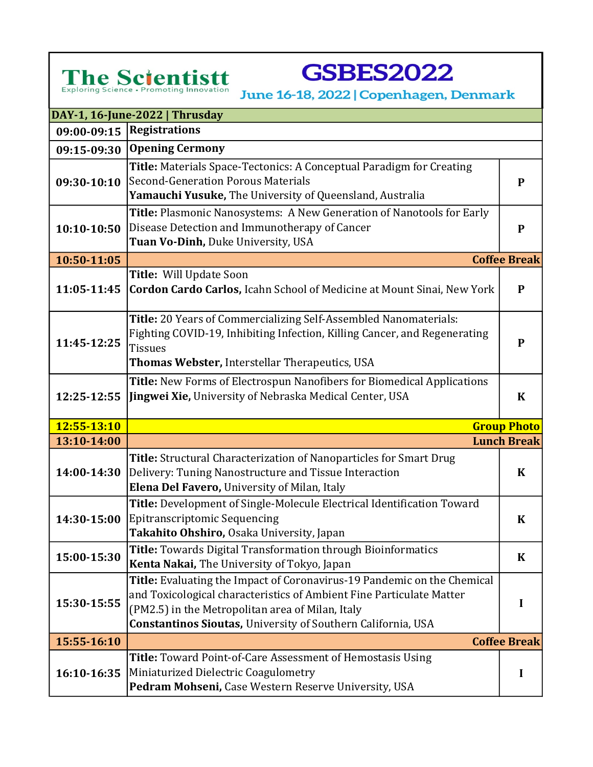## Exploring Science · Promoting Innovation

**GSBES2022** 

June 16-18, 2022 | Copenhagen, Denmark

| DAY-1, 16-June-2022   Thrusday |                                                                                                                                                                                                                                                                            |                     |  |
|--------------------------------|----------------------------------------------------------------------------------------------------------------------------------------------------------------------------------------------------------------------------------------------------------------------------|---------------------|--|
|                                | 09:00-09:15   Registrations                                                                                                                                                                                                                                                |                     |  |
| 09:15-09:30                    | <b>Opening Cermony</b>                                                                                                                                                                                                                                                     |                     |  |
| 09:30-10:10                    | Title: Materials Space-Tectonics: A Conceptual Paradigm for Creating<br>Second-Generation Porous Materials<br>Yamauchi Yusuke, The University of Queensland, Australia                                                                                                     | $\mathbf P$         |  |
| 10:10-10:50                    | Title: Plasmonic Nanosystems: A New Generation of Nanotools for Early<br>Disease Detection and Immunotherapy of Cancer<br>Tuan Vo-Dinh, Duke University, USA                                                                                                               | P                   |  |
| 10:50-11:05                    |                                                                                                                                                                                                                                                                            | <b>Coffee Break</b> |  |
| 11:05-11:45                    | Title: Will Update Soon<br><b>Cordon Cardo Carlos, Icahn School of Medicine at Mount Sinai, New York</b>                                                                                                                                                                   | $\mathbf{P}$        |  |
| 11:45-12:25                    | Title: 20 Years of Commercializing Self-Assembled Nanomaterials:<br>Fighting COVID-19, Inhibiting Infection, Killing Cancer, and Regenerating<br><b>Tissues</b><br>Thomas Webster, Interstellar Therapeutics, USA                                                          | $\mathbf{P}$        |  |
| 12:25-12:55                    | Title: New Forms of Electrospun Nanofibers for Biomedical Applications<br>Jingwei Xie, University of Nebraska Medical Center, USA                                                                                                                                          | $\bf K$             |  |
| 12:55-13:10                    |                                                                                                                                                                                                                                                                            | <b>Group Photo</b>  |  |
| 13:10-14:00                    |                                                                                                                                                                                                                                                                            | <b>Lunch Break</b>  |  |
| 14:00-14:30                    | Title: Structural Characterization of Nanoparticles for Smart Drug<br>Delivery: Tuning Nanostructure and Tissue Interaction<br>Elena Del Favero, University of Milan, Italy                                                                                                | $\bf K$             |  |
| 14:30-15:00                    | Title: Development of Single-Molecule Electrical Identification Toward<br>Epitranscriptomic Sequencing<br>Takahito Ohshiro, Osaka University, Japan                                                                                                                        | $\bf K$             |  |
| 15:00-15:30                    | Title: Towards Digital Transformation through Bioinformatics<br><b>Kenta Nakai, The University of Tokyo, Japan</b>                                                                                                                                                         | $\bf K$             |  |
| 15:30-15:55                    | Title: Evaluating the Impact of Coronavirus-19 Pandemic on the Chemical<br>and Toxicological characteristics of Ambient Fine Particulate Matter<br>(PM2.5) in the Metropolitan area of Milan, Italy<br><b>Constantinos Sioutas, University of Southern California, USA</b> | I                   |  |
| 15:55-16:10                    |                                                                                                                                                                                                                                                                            | <b>Coffee Break</b> |  |
| 16:10-16:35                    | <b>Title:</b> Toward Point-of-Care Assessment of Hemostasis Using<br>Miniaturized Dielectric Coagulometry<br>Pedram Mohseni, Case Western Reserve University, USA                                                                                                          | I                   |  |

Next Steps Levenshulme, UK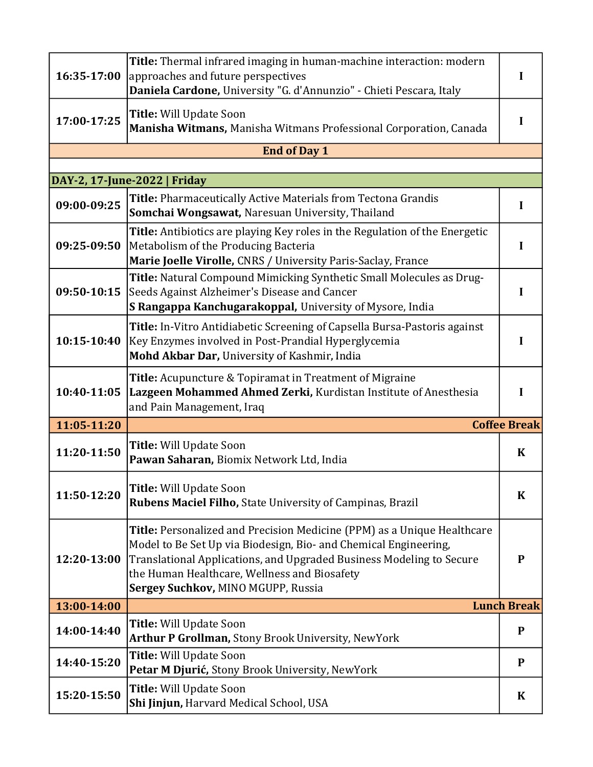| 16:35-17:00 | Title: Thermal infrared imaging in human-machine interaction: modern<br>approaches and future perspectives<br>Daniela Cardone, University "G. d'Annunzio" - Chieti Pescara, Italy                                                                                                                         | I                   |
|-------------|-----------------------------------------------------------------------------------------------------------------------------------------------------------------------------------------------------------------------------------------------------------------------------------------------------------|---------------------|
| 17:00-17:25 | Title: Will Update Soon<br>Manisha Witmans, Manisha Witmans Professional Corporation, Canada                                                                                                                                                                                                              |                     |
|             | <b>End of Day 1</b>                                                                                                                                                                                                                                                                                       |                     |
|             | DAY-2, 17-June-2022   Friday                                                                                                                                                                                                                                                                              |                     |
| 09:00-09:25 | Title: Pharmaceutically Active Materials from Tectona Grandis<br>Somchai Wongsawat, Naresuan University, Thailand                                                                                                                                                                                         | L                   |
| 09:25-09:50 | Title: Antibiotics are playing Key roles in the Regulation of the Energetic<br>Metabolism of the Producing Bacteria<br>Marie Joelle Virolle, CNRS / University Paris-Saclay, France                                                                                                                       | I                   |
| 09:50-10:15 | Title: Natural Compound Mimicking Synthetic Small Molecules as Drug-<br>Seeds Against Alzheimer's Disease and Cancer<br>S Rangappa Kanchugarakoppal, University of Mysore, India                                                                                                                          | I                   |
| 10:15-10:40 | Title: In-Vitro Antidiabetic Screening of Capsella Bursa-Pastoris against<br>Key Enzymes involved in Post-Prandial Hyperglycemia<br>Mohd Akbar Dar, University of Kashmir, India                                                                                                                          | I                   |
| 10:40-11:05 | <b>Title:</b> Acupuncture & Topiramat in Treatment of Migraine<br>Lazgeen Mohammed Ahmed Zerki, Kurdistan Institute of Anesthesia<br>and Pain Management, Iraq                                                                                                                                            | I                   |
| 11:05-11:20 |                                                                                                                                                                                                                                                                                                           | <b>Coffee Break</b> |
| 11:20-11:50 | Title: Will Update Soon<br>Pawan Saharan, Biomix Network Ltd, India                                                                                                                                                                                                                                       | $\bf K$             |
| 11:50-12:20 | Title: Will Update Soon<br>Rubens Maciel Filho, State University of Campinas, Brazil                                                                                                                                                                                                                      | $\bf K$             |
| 12:20-13:00 | Title: Personalized and Precision Medicine (PPM) as a Unique Healthcare<br>Model to Be Set Up via Biodesign, Bio- and Chemical Engineering,<br>Translational Applications, and Upgraded Business Modeling to Secure<br>the Human Healthcare, Wellness and Biosafety<br>Sergey Suchkov, MINO MGUPP, Russia | P                   |
| 13:00-14:00 |                                                                                                                                                                                                                                                                                                           | <b>Lunch Break</b>  |
| 14:00-14:40 | Title: Will Update Soon<br><b>Arthur P Grollman, Stony Brook University, NewYork</b>                                                                                                                                                                                                                      | ${\bf P}$           |
| 14:40-15:20 | <b>Title: Will Update Soon</b><br>Petar M Djurić, Stony Brook University, NewYork                                                                                                                                                                                                                         | P                   |
| 15:20-15:50 | <b>Title: Will Update Soon</b><br>Shi Jinjun, Harvard Medical School, USA                                                                                                                                                                                                                                 | $\bf K$             |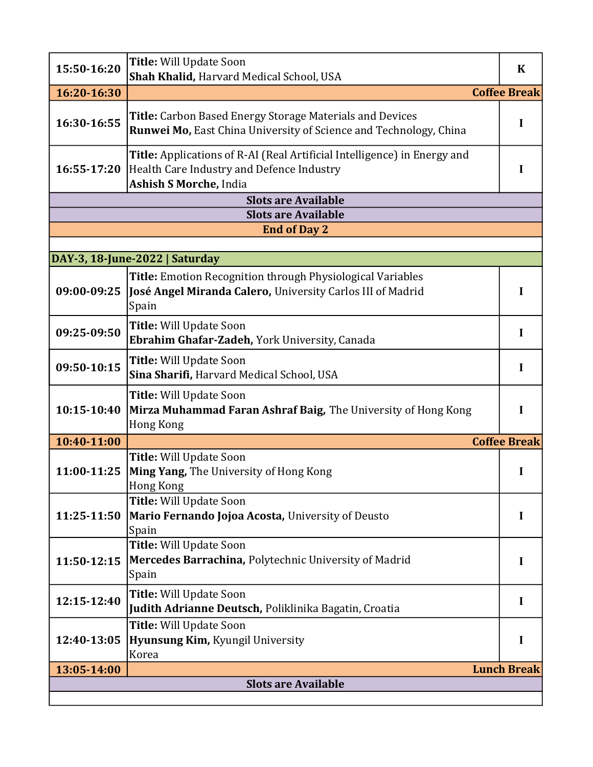| Title: Will Update Soon<br>15:50-16:20<br>Shah Khalid, Harvard Medical School, USA                                                                             | $\bf K$             |  |
|----------------------------------------------------------------------------------------------------------------------------------------------------------------|---------------------|--|
| <b>Coffee Break</b><br>16:20-16:30                                                                                                                             |                     |  |
| <b>Title:</b> Carbon Based Energy Storage Materials and Devices<br>16:30-16:55<br><b>Runwei Mo, East China University of Science and Technology, China</b>     | I                   |  |
| Title: Applications of R-AI (Real Artificial Intelligence) in Energy and<br>Health Care Industry and Defence Industry<br>16:55-17:20<br>Ashish S Morche, India | I                   |  |
| <b>Slots are Available</b>                                                                                                                                     |                     |  |
| <b>Slots are Available</b>                                                                                                                                     |                     |  |
| <b>End of Day 2</b>                                                                                                                                            |                     |  |
| DAY-3, 18-June-2022   Saturday                                                                                                                                 |                     |  |
| <b>Title:</b> Emotion Recognition through Physiological Variables<br>José Angel Miranda Calero, University Carlos III of Madrid<br>09:00-09:25<br>Spain        |                     |  |
| <b>Title: Will Update Soon</b><br>09:25-09:50<br>Ebrahim Ghafar-Zadeh, York University, Canada                                                                 | I                   |  |
| Title: Will Update Soon<br>09:50-10:15<br>Sina Sharifi, Harvard Medical School, USA                                                                            | I                   |  |
| Title: Will Update Soon<br>10:15-10:40<br>Mirza Muhammad Faran Ashraf Baig, The University of Hong Kong<br><b>Hong Kong</b>                                    | I                   |  |
| 10:40-11:00                                                                                                                                                    | <b>Coffee Break</b> |  |
| Title: Will Update Soon<br><b>Ming Yang, The University of Hong Kong</b><br>11:00-11:25<br>Hong Kong                                                           | I                   |  |
| <b>Title: Will Update Soon</b><br>11:25-11:50<br>Mario Fernando Jojoa Acosta, University of Deusto<br>Spain                                                    | I                   |  |
| Title: Will Update Soon<br>Mercedes Barrachina, Polytechnic University of Madrid<br>11:50-12:15<br>Spain                                                       | I                   |  |
| Title: Will Update Soon<br>12:15-12:40<br>Judith Adrianne Deutsch, Poliklinika Bagatin, Croatia                                                                | I                   |  |
| Title: Will Update Soon<br>Hyunsung Kim, Kyungil University<br>12:40-13:05<br>Korea                                                                            | I                   |  |
| 13:05-14:00                                                                                                                                                    | <b>Lunch Break</b>  |  |
| <b>Slots are Available</b>                                                                                                                                     |                     |  |